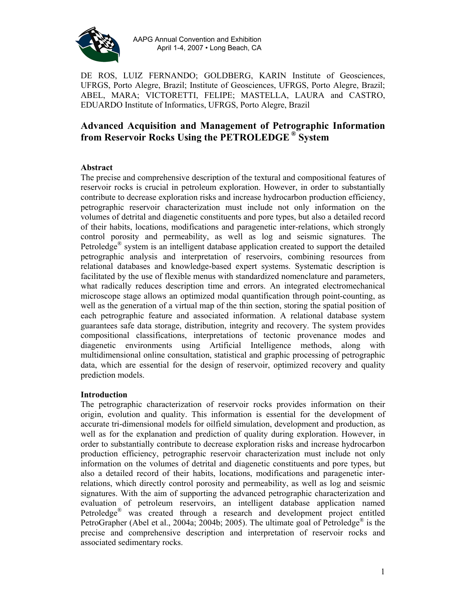

AAPG Annual Convention and Exhibition April 1-4, 2007 • Long Beach, CA

DE ROS, LUIZ FERNANDO; GOLDBERG, KARIN Institute of Geosciences, UFRGS, Porto Alegre, Brazil; Institute of Geosciences, UFRGS, Porto Alegre, Brazil; ABEL, MARA; VICTORETTI, FELIPE; MASTELLA, LAURA and CASTRO, EDUARDO Institute of Informatics, UFRGS, Porto Alegre, Brazil

# **Advanced Acquisition and Management of Petrographic Information from Reservoir Rocks Using the PETROLEDGE ® System**

### **Abstract**

The precise and comprehensive description of the textural and compositional features of reservoir rocks is crucial in petroleum exploration. However, in order to substantially contribute to decrease exploration risks and increase hydrocarbon production efficiency, petrographic reservoir characterization must include not only information on the volumes of detrital and diagenetic constituents and pore types, but also a detailed record of their habits, locations, modifications and paragenetic inter-relations, which strongly control porosity and permeability, as well as log and seismic signatures. The Petroledge® system is an intelligent database application created to support the detailed petrographic analysis and interpretation of reservoirs, combining resources from relational databases and knowledge-based expert systems. Systematic description is facilitated by the use of flexible menus with standardized nomenclature and parameters, what radically reduces description time and errors. An integrated electromechanical microscope stage allows an optimized modal quantification through point-counting, as well as the generation of a virtual map of the thin section, storing the spatial position of each petrographic feature and associated information. A relational database system guarantees safe data storage, distribution, integrity and recovery. The system provides compositional classifications, interpretations of tectonic provenance modes and diagenetic environments using Artificial Intelligence methods, along with multidimensional online consultation, statistical and graphic processing of petrographic data, which are essential for the design of reservoir, optimized recovery and quality prediction models.

#### **Introduction**

The petrographic characterization of reservoir rocks provides information on their origin, evolution and quality. This information is essential for the development of accurate tri-dimensional models for oilfield simulation, development and production, as well as for the explanation and prediction of quality during exploration. However, in order to substantially contribute to decrease exploration risks and increase hydrocarbon production efficiency, petrographic reservoir characterization must include not only information on the volumes of detrital and diagenetic constituents and pore types, but also a detailed record of their habits, locations, modifications and paragenetic interrelations, which directly control porosity and permeability, as well as log and seismic signatures. With the aim of supporting the advanced petrographic characterization and evaluation of petroleum reservoirs, an intelligent database application named Petroledge® was created through a research and development project entitled PetroGrapher (Abel et al., 2004a; 2004b; 2005). The ultimate goal of Petroledge<sup>®</sup> is the precise and comprehensive description and interpretation of reservoir rocks and associated sedimentary rocks.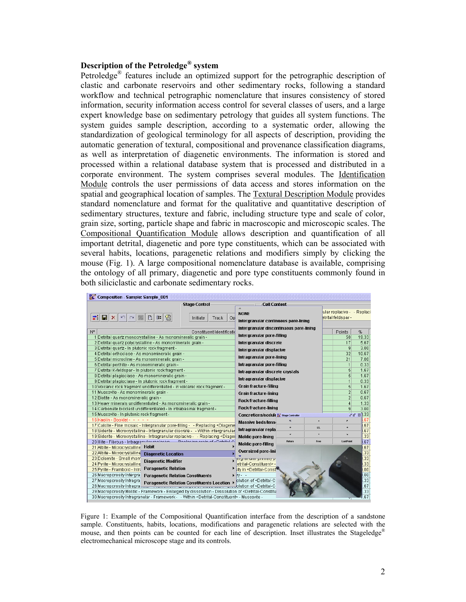#### **Description of the Petroledge® system**

Petroledge® features include an optimized support for the petrographic description of clastic and carbonate reservoirs and other sedimentary rocks, following a standard workflow and technical petrographic nomenclature that insures consistency of stored information, security information access control for several classes of users, and a large expert knowledge base on sedimentary petrology that guides all system functions. The system guides sample description, according to a systematic order, allowing the standardization of geological terminology for all aspects of description, providing the automatic generation of textural, compositional and provenance classification diagrams, as well as interpretation of diagenetic environments. The information is stored and processed within a relational database system that is processed and distributed in a corporate environment. The system comprises several modules. The Identification Module controls the user permissions of data access and stores information on the spatial and geographical location of samples. The Textural Description Module provides standard nomenclature and format for the qualitative and quantitative description of sedimentary structures, texture and fabric, including structure type and scale of color, grain size, sorting, particle shape and fabric in macroscopic and microscopic scales. The Compositional Quantification Module allows description and quantification of all important detrital, diagenetic and pore type constituents, which can be associated with several habits, locations, paragenetic relations and modifiers simply by clicking the mouse (Fig. 1). A large compositional nomenclature database is available, comprising the ontology of all primary, diagenetic and pore type constituents commonly found in both siliciclastic and carbonate sedimentary rocks.

| <b>Pr</b> Composition - Sample: Sample 001                                                                                                                                              |                           |                                                                                       |               |      |                                                  |              |
|-----------------------------------------------------------------------------------------------------------------------------------------------------------------------------------------|---------------------------|---------------------------------------------------------------------------------------|---------------|------|--------------------------------------------------|--------------|
| <b>Stage Control</b>                                                                                                                                                                    |                           | -Cell Content                                                                         |               |      |                                                  |              |
| 图<br>动<br>$\frac{1}{2}$<br>$\mathbb{D}$<br>Ы<br>$\mathsf{x}$<br>$E =$<br>Initiate                                                                                                       | Op<br>Track               | <b>NONE</b><br>Intergranular continuous pore-lining                                   |               |      | ular replacive - - Replaci<br>etrital feldspar - |              |
| $N^{\circ}$                                                                                                                                                                             | Constituent Identificatio | Intergranular discontinuous pore-lining                                               |               |      | Points                                           | %            |
| 1 Detrital quartz monocrystalline - As monomineralic grain -                                                                                                                            |                           | Intergranular pore-filling                                                            |               |      | 58                                               | 19.33        |
| 2 Detrital quartz polycrystalline - As monomineralic grain -                                                                                                                            |                           | Intergranular discrete                                                                |               |      | 17                                               | 5.67         |
| 3 Detrital quartz - In plutonic rock fragment -                                                                                                                                         |                           | Intergranular displacive                                                              |               |      | 9                                                | 3.00         |
| 4 Detrital orthoclase - As monomineralic grain -                                                                                                                                        |                           |                                                                                       |               |      | 32                                               | 10.67        |
| 5 Detrital microcline - As monomineralic grain -                                                                                                                                        |                           | Intragranular pore-lining                                                             |               |      | 21                                               | 7.00         |
| 6 Detrital perthite - As monomineralic grain -                                                                                                                                          |                           | Intragranular pore-filling                                                            |               |      | $\mathbf{1}$                                     | 0.33         |
| 7 Detrital K-feldspar - In plutonic rock fragment -                                                                                                                                     |                           | Intragranular discrete crystals                                                       |               |      | 5                                                | 1.67         |
| 8 Detrital plagioclase - As monomineralic grain -                                                                                                                                       |                           | Intragranular displacive                                                              |               |      | 5                                                | 1.67         |
| 9 Detrital plagioclase - In plutonic rock fragment -                                                                                                                                    |                           |                                                                                       |               |      | $\mathbf{1}$                                     | 0.33         |
| 10 Volcanic rock fragment undifferentiated - In volcanic rock fragment -                                                                                                                |                           | Grain fracture-filling                                                                |               |      | $\overline{5}$                                   | 1.67         |
| 11 Muscovite - As monomineralic grain -                                                                                                                                                 |                           | <b>Grain fracture-lining</b>                                                          |               |      | $\overline{2}$                                   | 0.67         |
| 12 Biotite - As monomineralic grain -                                                                                                                                                   |                           | <b>Rock fracture-filling</b>                                                          |               |      | $\overline{2}$                                   | 0.67         |
| 13 Heavy minerals undifferentiated - As monomineralic grain -                                                                                                                           |                           | <b>Rock fracture-lining</b>                                                           |               |      | $\vert 4 \vert$<br>$\overline{9}$                | 1.33<br>3.00 |
| 14 Carbonate bioclast undifferentiated - In intrabasinal fragment -<br>15 Muscovite - In plutonic rock fragment -                                                                       |                           |                                                                                       |               |      |                                                  | 580.33       |
| 16 Kaolin - Booklet - France                                                                                                                                                            |                           | Concretions/nodule Ed Stage Controller                                                |               |      |                                                  | .67          |
| 17 Calcite - Fine mosaic - Intergranular pore-filling - - Replacing <diagene< th=""><th></th><th><b>Massive beds/lense</b></th><th></th><th></th><th>×</th><th>.67</th></diagene<>      |                           | <b>Massive beds/lense</b>                                                             |               |      | ×                                                | .67          |
| 18 Siderite - Microcrystalline - Intergranular discrete - - Within intergranular                                                                                                        |                           | Intragranular repla                                                                   | ٠             | LS.  | ٠                                                | .67          |
| 19 Siderite - Microcrystalline - Intragranular replacive - - Replacing <diager< th=""><th></th><th><b>Moldic pore-lining</b></th><th></th><th>¥</th><th>×.</th><th>.33</th></diager<>   |                           | <b>Moldic pore-lining</b>                                                             |               | ¥    | ×.                                               | .33          |
| 20 Illite - Fibrous - Intragramular ronlacivo<br>Pontocing aroin of cDotritol C                                                                                                         |                           |                                                                                       | <b>Return</b> | Free | LastPoint                                        | 67           |
| Habit<br>21 Albite - Microcrystalline                                                                                                                                                   |                           | <b>Moldic pore-filling</b>                                                            |               |      |                                                  | .67          |
| 22 Albite - Microcrystalline<br><b>Diagenetic Location</b>                                                                                                                              |                           | <b>Oversized pore-lini</b>                                                            |               |      |                                                  | .33          |
| 23 Dolomite - Small rhom<br><b>Diagenetic Modifier</b>                                                                                                                                  |                           | <del>ergranular primary p</del> i                                                     |               |      |                                                  | .33          |
| 24 Pyrite - Microcrystalline                                                                                                                                                            |                           | etrital-Constituent> -                                                                |               |      |                                                  | .33          |
| <b>Paragenetic Relation</b><br>25 Pyrite - Framboid - Intri                                                                                                                             |                           | itv in <detrital-const<sup>∎</detrital-const<sup>                                     |               |      |                                                  | .00          |
| 26 Macroporosity Intergra<br><b>Paragenetic Relation Constituents</b>                                                                                                                   |                           | liv - -                                                                               |               |      |                                                  | .00          |
| 27 Macroporosity Intragra<br>Paragenetic Relation Constituents Location ▶                                                                                                               |                           | olution of <detrital-co< th=""><th></th><th></th><th></th><th>.33</th></detrital-co<> |               |      |                                                  | .33          |
| 28 Macroporosity Intragram and Contract of Contract of Contract of Contract of Cetrital-Co                                                                                              |                           |                                                                                       |               |      |                                                  | .67          |
| 29 Macroporosity Moldic - Framework - Enlarged by dissolution - Dissolution of <detrital-constitu< td=""><td></td><td></td><td></td><td></td><td></td><td>.33</td></detrital-constitu<> |                           |                                                                                       |               |      |                                                  | .33          |
| 30 Macroporosity Intragranular - Framework - - Within <detrital-constituent> - Muscovite -</detrital-constituent>                                                                       |                           |                                                                                       |               |      |                                                  | .67          |

Figure 1: Example of the Compositional Quantification interface from the description of a sandstone sample. Constituents, habits, locations, modifications and paragenetic relations are selected with the mouse, and then points can be counted for each line of description. Inset illustrates the Stageledge<sup>®</sup> electromechanical microscope stage and its controls.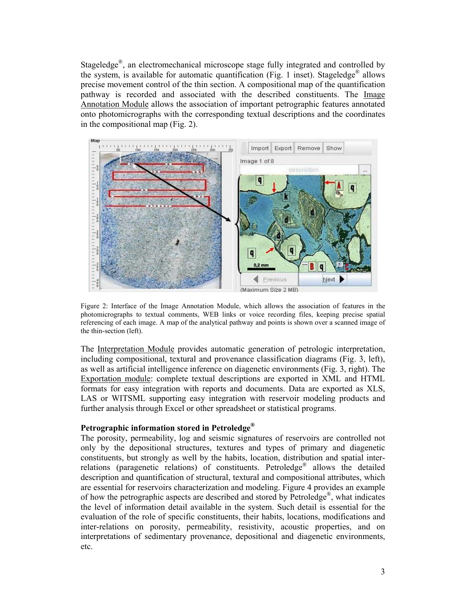Stageledge®, an electromechanical microscope stage fully integrated and controlled by the system, is available for automatic quantification (Fig. 1 inset). Stageledge<sup>®</sup> allows precise movement control of the thin section. A compositional map of the quantification pathway is recorded and associated with the described constituents. The Image Annotation Module allows the association of important petrographic features annotated onto photomicrographs with the corresponding textual descriptions and the coordinates in the compositional map (Fig. 2).



Figure 2: Interface of the Image Annotation Module, which allows the association of features in the photomicrographs to textual comments, WEB links or voice recording files, keeping precise spatial referencing of each image. A map of the analytical pathway and points is shown over a scanned image of the thin-section (left).

The Interpretation Module provides automatic generation of petrologic interpretation, including compositional, textural and provenance classification diagrams (Fig. 3, left), as well as artificial intelligence inference on diagenetic environments (Fig. 3, right). The Exportation module: complete textual descriptions are exported in XML and HTML formats for easy integration with reports and documents. Data are exported as XLS, LAS or WITSML supporting easy integration with reservoir modeling products and further analysis through Excel or other spreadsheet or statistical programs.

#### **Petrographic information stored in Petroledge®**

The porosity, permeability, log and seismic signatures of reservoirs are controlled not only by the depositional structures, textures and types of primary and diagenetic constituents, but strongly as well by the habits, location, distribution and spatial interrelations (paragenetic relations) of constituents. Petroledge® allows the detailed description and quantification of structural, textural and compositional attributes, which are essential for reservoirs characterization and modeling. Figure 4 provides an example of how the petrographic aspects are described and stored by Petroledge®, what indicates the level of information detail available in the system. Such detail is essential for the evaluation of the role of specific constituents, their habits, locations, modifications and inter-relations on porosity, permeability, resistivity, acoustic properties, and on interpretations of sedimentary provenance, depositional and diagenetic environments, etc.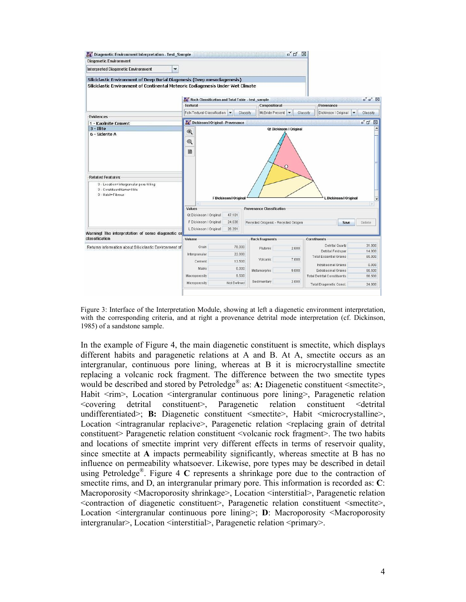

Figure 3: Interface of the Interpretation Module, showing at left a diagenetic environment interpretation, with the corresponding criteria, and at right a provenance detrital mode interpretation (cf. Dickinson, 1985) of a sandstone sample.

In the example of Figure 4, the main diagenetic constituent is smectite, which displays different habits and paragenetic relations at A and B. At A, smectite occurs as an intergranular, continuous pore lining, whereas at B it is microcrystalline smectite replacing a volcanic rock fragment. The difference between the two smectite types would be described and stored by Petroledge<sup>®</sup> as: A: Diagenetic constituent <smectite>, Habit  $\langle$ rim>, Location  $\langle$ intergranular continuous pore lining>, Paragenetic relation <covering detrital constituent>, Paragenetic relation constituent <detrital undifferentiated>; **B:** Diagenetic constituent <smectite>, Habit <microcrystalline>, Location <intragranular replacive>, Paragenetic relation <replacing grain of detrital constituent> Paragenetic relation constituent <volcanic rock fragment>. The two habits and locations of smectite imprint very different effects in terms of reservoir quality, since smectite at **A** impacts permeability significantly, whereas smectite at B has no influence on permeability whatsoever. Likewise, pore types may be described in detail using Petroledge®. Figure 4 **C** represents a shrinkage pore due to the contraction of smectite rims, and D, an intergranular primary pore. This information is recorded as: **C**: Macroporosity <Macroporosity shrinkage>, Location <interstitial>, Paragenetic relation <contraction of diagenetic constituent>, Paragenetic relation constituent <smectite>, Location <intergranular continuous pore lining>; **D**: Macroporosity <Macroporosity intergranular>, Location <interstitial>, Paragenetic relation <primary>.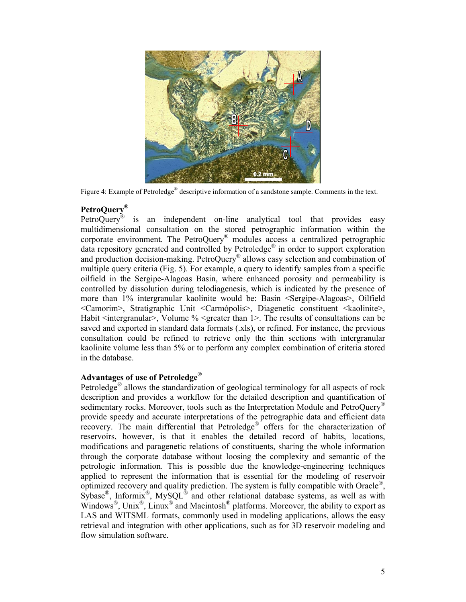

Figure 4: Example of Petroledge® descriptive information of a sandstone sample. Comments in the text.

## **PetroQuery®**

PetroQuery® is an independent on-line analytical tool that provides easy multidimensional consultation on the stored petrographic information within the corporate environment. The PetroQuery® modules access a centralized petrographic data repository generated and controlled by Petroledge® in order to support exploration and production decision-making. PetroQuery® allows easy selection and combination of multiple query criteria (Fig. 5). For example, a query to identify samples from a specific oilfield in the Sergipe-Alagoas Basin, where enhanced porosity and permeability is controlled by dissolution during telodiagenesis, which is indicated by the presence of more than 1% intergranular kaolinite would be: Basin <Sergipe-Alagoas>, Oilfield <Camorim>, Stratigraphic Unit <Carmópolis>, Diagenetic constituent <kaolinite>, Habit <intergranular>, Volume % <greater than 1>. The results of consultations can be saved and exported in standard data formats (.xls), or refined. For instance, the previous consultation could be refined to retrieve only the thin sections with intergranular kaolinite volume less than 5% or to perform any complex combination of criteria stored in the database.

### **Advantages of use of Petroledge®**

Petroledge<sup>®</sup> allows the standardization of geological terminology for all aspects of rock description and provides a workflow for the detailed description and quantification of sedimentary rocks. Moreover, tools such as the Interpretation Module and PetroQuery<sup>®</sup> provide speedy and accurate interpretations of the petrographic data and efficient data recovery. The main differential that Petroledge<sup>®</sup> offers for the characterization of reservoirs, however, is that it enables the detailed record of habits, locations, modifications and paragenetic relations of constituents, sharing the whole information through the corporate database without loosing the complexity and semantic of the petrologic information. This is possible due the knowledge-engineering techniques applied to represent the information that is essential for the modeling of reservoir optimized recovery and quality prediction. The system is fully compatible with Oracle®,  $Sybase^{\circ}$ , Informix<sup>®</sup>, MySQL<sup>®</sup> and other relational database systems, as well as with Windows®, Unix®, Linux® and Macintosh® platforms. Moreover, the ability to export as LAS and WITSML formats, commonly used in modeling applications, allows the easy retrieval and integration with other applications, such as for 3D reservoir modeling and flow simulation software.